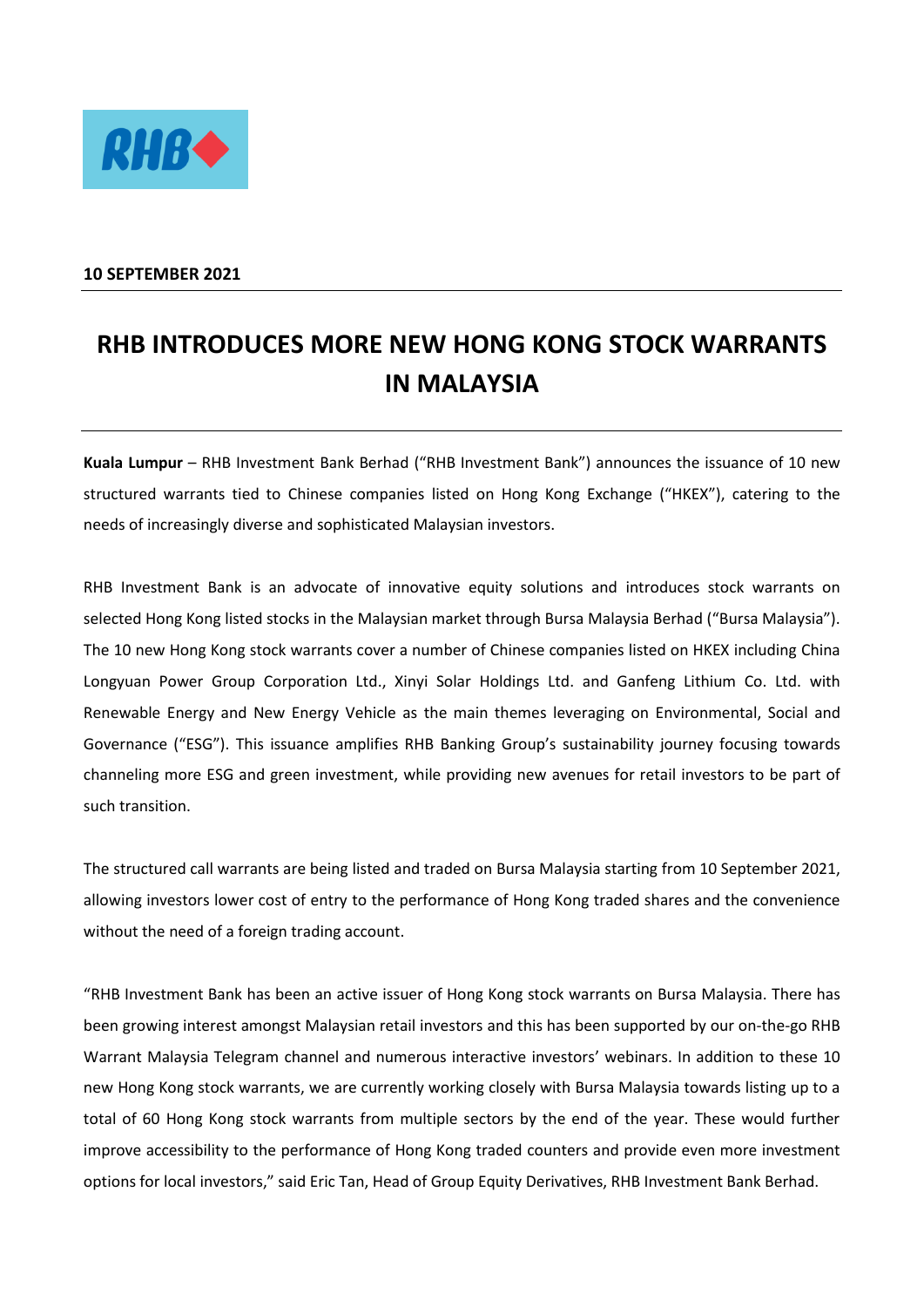

## **10 SEPTEMBER 2021**

## **RHB INTRODUCES MORE NEW HONG KONG STOCK WARRANTS IN MALAYSIA**

**Kuala Lumpur** – RHB Investment Bank Berhad ("RHB Investment Bank") announces the issuance of 10 new structured warrants tied to Chinese companies listed on Hong Kong Exchange ("HKEX"), catering to the needs of increasingly diverse and sophisticated Malaysian investors.

RHB Investment Bank is an advocate of innovative equity solutions and introduces stock warrants on selected Hong Kong listed stocks in the Malaysian market through Bursa Malaysia Berhad ("Bursa Malaysia"). The 10 new Hong Kong stock warrants cover a number of Chinese companies listed on HKEX including China Longyuan Power Group Corporation Ltd., Xinyi Solar Holdings Ltd. and Ganfeng Lithium Co. Ltd. with Renewable Energy and New Energy Vehicle as the main themes leveraging on Environmental, Social and Governance ("ESG"). This issuance amplifies RHB Banking Group's sustainability journey focusing towards channeling more ESG and green investment, while providing new avenues for retail investors to be part of such transition.

The structured call warrants are being listed and traded on Bursa Malaysia starting from 10 September 2021, allowing investors lower cost of entry to the performance of Hong Kong traded shares and the convenience without the need of a foreign trading account.

"RHB Investment Bank has been an active issuer of Hong Kong stock warrants on Bursa Malaysia. There has been growing interest amongst Malaysian retail investors and this has been supported by our on-the-go RHB Warrant Malaysia Telegram channel and numerous interactive investors' webinars. In addition to these 10 new Hong Kong stock warrants, we are currently working closely with Bursa Malaysia towards listing up to a total of 60 Hong Kong stock warrants from multiple sectors by the end of the year. These would further improve accessibility to the performance of Hong Kong traded counters and provide even more investment options for local investors," said Eric Tan, Head of Group Equity Derivatives, RHB Investment Bank Berhad.